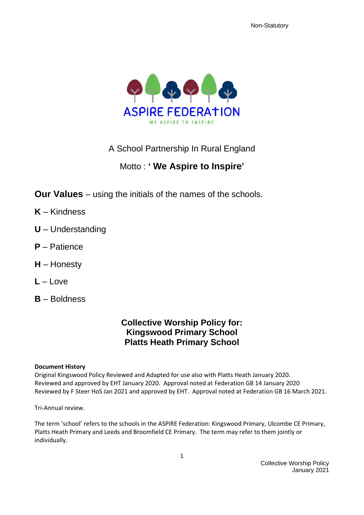

A School Partnership In Rural England

# Motto : **' We Aspire to Inspire'**

**Our Values** – using the initials of the names of the schools.

- **K** Kindness
- **U** Understanding
- **P** Patience
- **H** Honesty
- $L I$  ove
- **B** Boldness

# **Collective Worship Policy for: Kingswood Primary School Platts Heath Primary School**

#### **Document History**

Original Kingswood Policy Reviewed and Adapted for use also with Platts Heath January 2020. Reviewed and approved by EHT January 2020. Approval noted at Federation GB 14 January 2020 Reviewed by F Steer HoS Jan 2021 and approved by EHT. Approval noted at Federation GB 16 March 2021.

Tri-Annual review.

The term 'school' refers to the schools in the ASPIRE Federation: Kingswood Primary, Ulcombe CE Primary, Platts Heath Primary and Leeds and Broomfield CE Primary. The term may refer to them jointly or individually.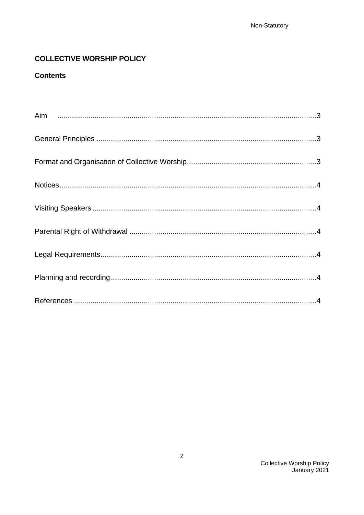# **COLLECTIVE WORSHIP POLICY**

## **Contents**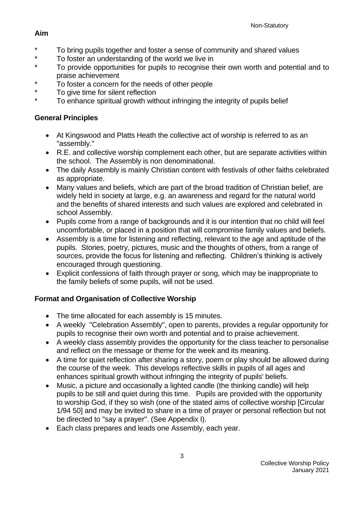# <span id="page-2-0"></span>**Aim**

- \* To bring pupils together and foster a sense of community and shared values<br>\* To foster an understanding of the world we live in
- \* To foster an understanding of the world we live in<br>The provide expertunities for pupils to researing the
- To provide opportunities for pupils to recognise their own worth and potential and to praise achievement
- \* To foster a concern for the needs of other people<br>\* To give time for eilent reflection
- To give time for silent reflection
- To enhance spiritual growth without infringing the integrity of pupils belief

# <span id="page-2-1"></span>**General Principles**

- At Kingswood and Platts Heath the collective act of worship is referred to as an "assembly."
- R.E. and collective worship complement each other, but are separate activities within the school. The Assembly is non denominational.
- The daily Assembly is mainly Christian content with festivals of other faiths celebrated as appropriate.
- Many values and beliefs, which are part of the broad tradition of Christian belief, are widely held in society at large, e.g. an awareness and regard for the natural world and the benefits of shared interests and such values are explored and celebrated in school Assembly.
- Pupils come from a range of backgrounds and it is our intention that no child will feel uncomfortable, or placed in a position that will compromise family values and beliefs.
- Assembly is a time for listening and reflecting, relevant to the age and aptitude of the pupils. Stories, poetry, pictures, music and the thoughts of others, from a range of sources, provide the focus for listening and reflecting. Children's thinking is actively encouraged through questioning.
- Explicit confessions of faith through prayer or song, which may be inappropriate to the family beliefs of some pupils, will not be used.

# <span id="page-2-2"></span>**Format and Organisation of Collective Worship**

- The time allocated for each assembly is 15 minutes.
- A weekly "Celebration Assembly", open to parents, provides a regular opportunity for pupils to recognise their own worth and potential and to praise achievement.
- A weekly class assembly provides the opportunity for the class teacher to personalise and reflect on the message or theme for the week and its meaning.
- A time for quiet reflection after sharing a story, poem or play should be allowed during the course of the week. This develops reflective skills in pupils of all ages and enhances spiritual growth without infringing the integrity of pupils' beliefs.
- Music, a picture and occasionally a lighted candle (the thinking candle) will help pupils to be still and quiet during this time. Pupils are provided with the opportunity to worship God, if they so wish (one of the stated aims of collective worship [Circular 1/94 50] and may be invited to share in a time of prayer or personal reflection but not be directed to "say a prayer". (See Appendix I).
- Each class prepares and leads one Assembly, each year.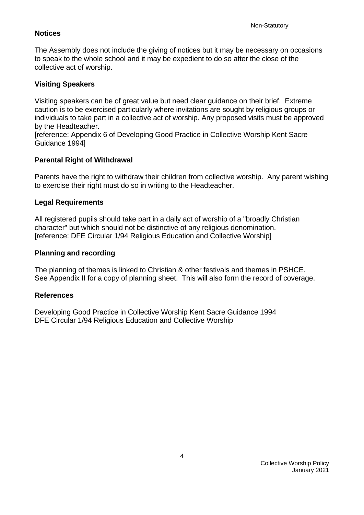### <span id="page-3-0"></span>**Notices**

The Assembly does not include the giving of notices but it may be necessary on occasions to speak to the whole school and it may be expedient to do so after the close of the collective act of worship.

## <span id="page-3-1"></span>**Visiting Speakers**

Visiting speakers can be of great value but need clear guidance on their brief. Extreme caution is to be exercised particularly where invitations are sought by religious groups or individuals to take part in a collective act of worship. Any proposed visits must be approved by the Headteacher.

[reference: Appendix 6 of Developing Good Practice in Collective Worship Kent Sacre Guidance 1994]

### <span id="page-3-2"></span>**Parental Right of Withdrawal**

Parents have the right to withdraw their children from collective worship. Any parent wishing to exercise their right must do so in writing to the Headteacher.

#### <span id="page-3-3"></span>**Legal Requirements**

All registered pupils should take part in a daily act of worship of a "broadly Christian character" but which should not be distinctive of any religious denomination. [reference: DFE Circular 1/94 Religious Education and Collective Worship]

#### <span id="page-3-4"></span>**Planning and recording**

The planning of themes is linked to Christian & other festivals and themes in PSHCE. See Appendix II for a copy of planning sheet. This will also form the record of coverage.

#### <span id="page-3-5"></span>**References**

Developing Good Practice in Collective Worship Kent Sacre Guidance 1994 DFE Circular 1/94 Religious Education and Collective Worship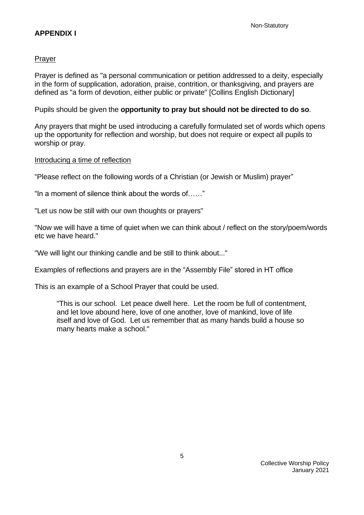### **APPENDIX I**

#### Prayer

Prayer is defined as "a personal communication or petition addressed to a deity, especially in the form of supplication, adoration, praise, contrition, or thanksgiving, and prayers are defined as "a form of devotion, either public or private" [Collins English Dictionary]

Pupils should be given the **opportunity to pray but should not be directed to do so**.

Any prayers that might be used introducing a carefully formulated set of words which opens up the opportunity for reflection and worship, but does not require or expect all pupils to worship or pray.

#### Introducing a time of reflection

"Please reflect on the following words of a Christian (or Jewish or Muslim) prayer"

"In a moment of silence think about the words of……"

"Let us now be still with our own thoughts or prayers"

"Now we will have a time of quiet when we can think about / reflect on the story/poem/words etc we have heard."

"We will light our thinking candle and be still to think about..."

Examples of reflections and prayers are in the "Assembly File" stored in HT office

This is an example of a School Prayer that could be used.

"This is our school. Let peace dwell here. Let the room be full of contentment, and let love abound here, love of one another, love of mankind, love of life itself and love of God. Let us remember that as many hands build a house so many hearts make a school."